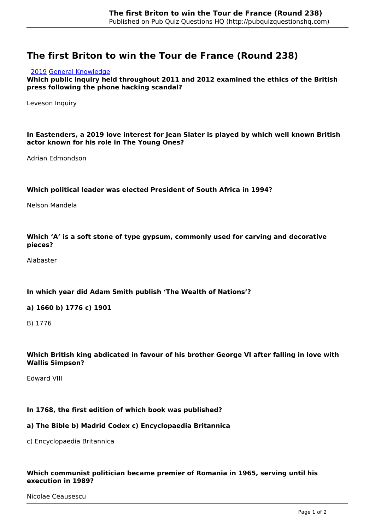# **The first Briton to win the Tour de France (Round 238)**

#### [2019](http://pubquizquestionshq.com/categories/2019) [General Knowledge](http://pubquizquestionshq.com/categories/general-knowledge)

**Which public inquiry held throughout 2011 and 2012 examined the ethics of the British press following the phone hacking scandal?**

Leveson Inquiry

### **In Eastenders, a 2019 love interest for Jean Slater is played by which well known British actor known for his role in The Young Ones?**

Adrian Edmondson

#### **Which political leader was elected President of South Africa in 1994?**

Nelson Mandela

#### **Which 'A' is a soft stone of type gypsum, commonly used for carving and decorative pieces?**

Alabaster

#### **In which year did Adam Smith publish 'The Wealth of Nations'?**

#### **a) 1660 b) 1776 c) 1901**

B) 1776

### **Which British king abdicated in favour of his brother George VI after falling in love with Wallis Simpson?**

Edward VIII

## **In 1768, the first edition of which book was published?**

#### **a) The Bible b) Madrid Codex c) Encyclopaedia Britannica**

c) Encyclopaedia Britannica

#### **Which communist politician became premier of Romania in 1965, serving until his execution in 1989?**

Nicolae Ceausescu